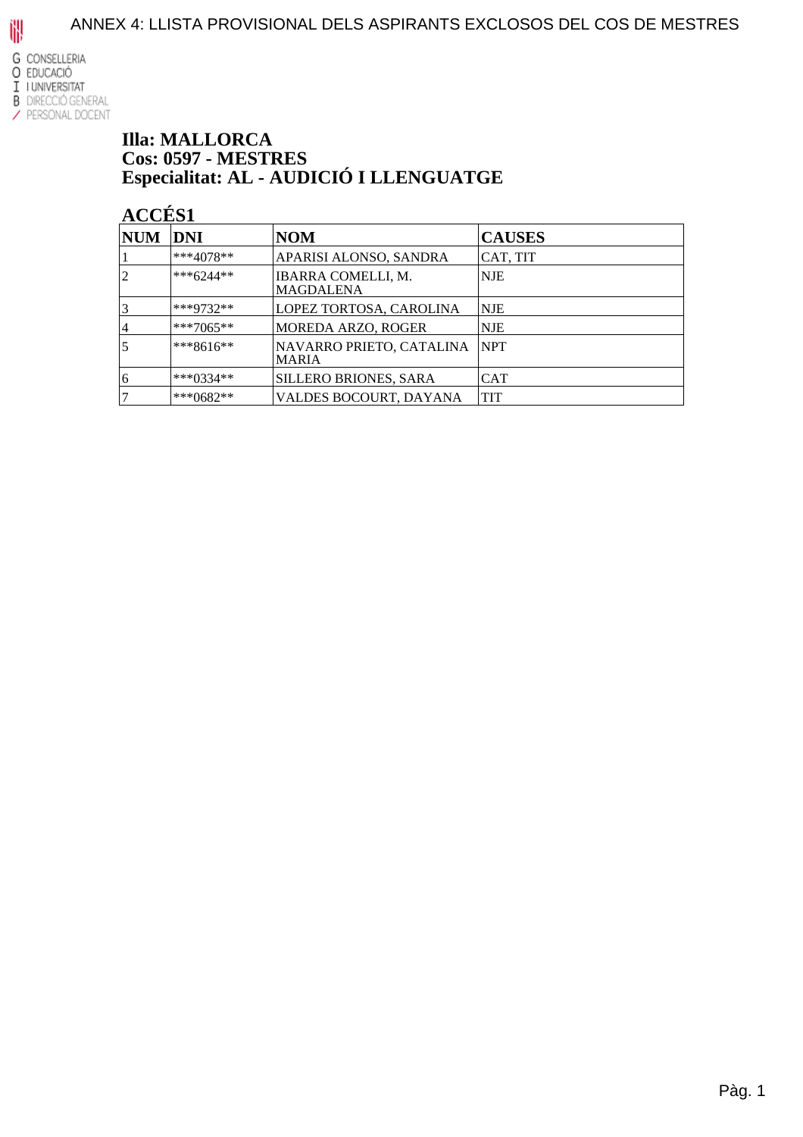

#### **Illa: MALLORCA Cos: 0597 - MESTRES** Especialitat: AL - AUDICIÓ I LLENGUATGE

| <b>NUM</b> | DNI         | <b>NOM</b>                               | <b>CAUSES</b> |
|------------|-------------|------------------------------------------|---------------|
|            | $***4078**$ | APARISI ALONSO, SANDRA                   | CAT, TIT      |
|            | $***6244**$ | IBARRA COMELLI, M.<br><b>MAGDALENA</b>   | <b>NJE</b>    |
|            | ***9732**   | LOPEZ TORTOSA, CAROLINA                  | NJE           |
| 4          | ***7065**   | <b>MOREDA ARZO, ROGER</b>                | <b>NJE</b>    |
| 5          | $***8616**$ | NAVARRO PRIETO, CATALINA<br><b>MARIA</b> | <b>NPT</b>    |
| 16         | ***0334**   | <b>SILLERO BRIONES, SARA</b>             | CAT           |
|            | ***0682**   | VALDES BOCOURT, DAYANA                   | <b>TIT</b>    |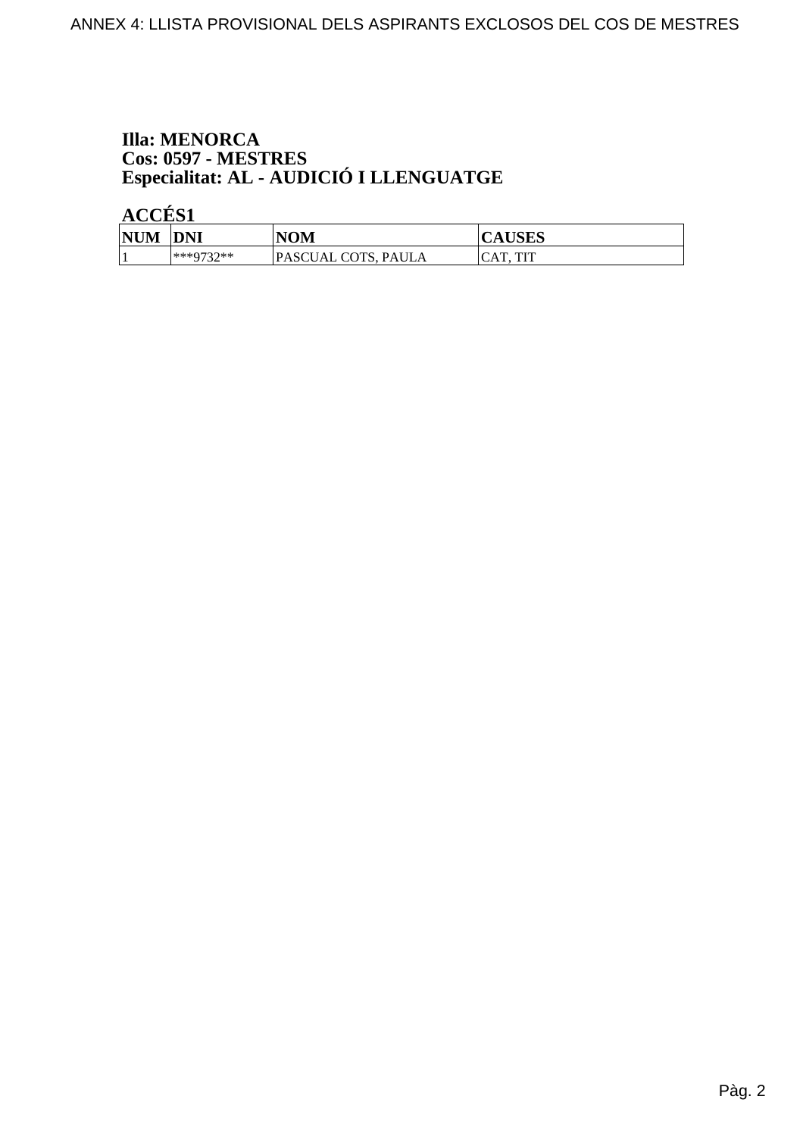# **Illa: MENORCA** Cos: 0597 - MESTRES<br>Especialitat: AL - AUDICIÓ I LLENGUATGE

| <b>NUM</b> | <b>DNI</b>              | NOM                 | CAUDLD              |
|------------|-------------------------|---------------------|---------------------|
|            | ***0737**<br><i>ت د</i> | PASCUAL COTS, PAULA | TIT<br>AT<br>$\sim$ |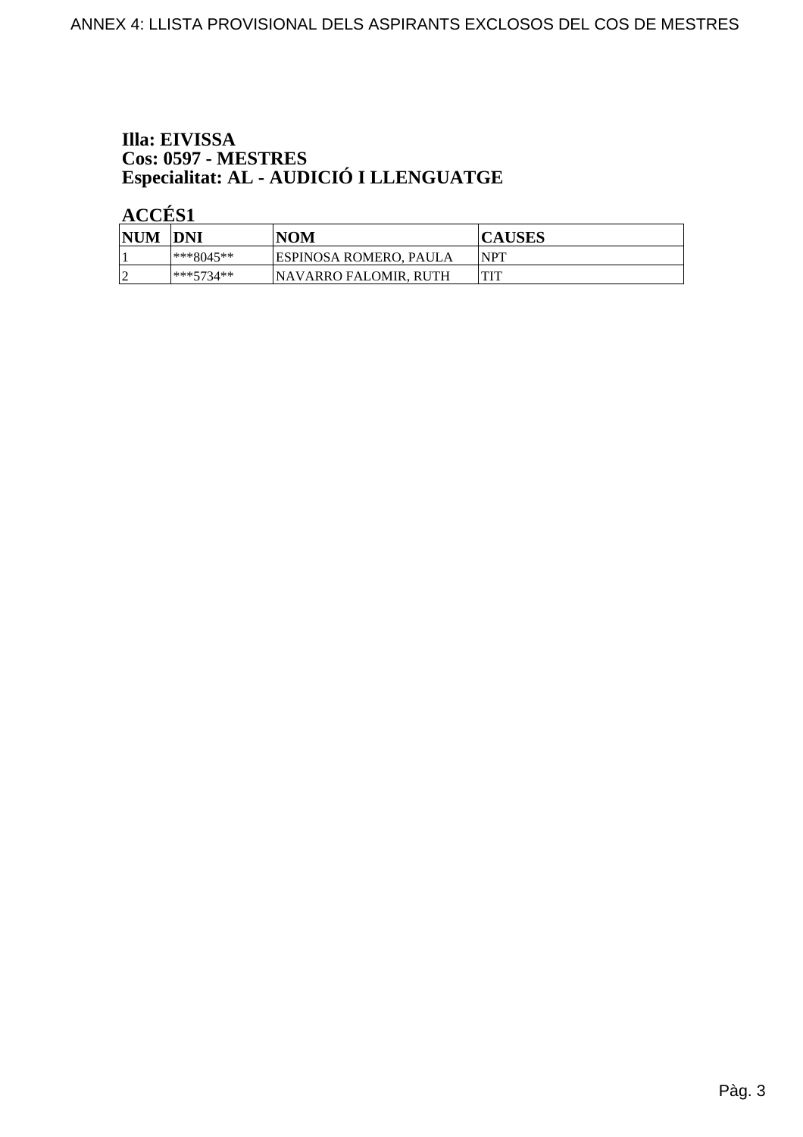# Illa: EIVISSA Cos: 0597 - MESTRES<br>Especialitat: AL - AUDICIÓ I LLENGUATGE

| <b>NUM</b> | <b>DNI</b>    | <b>NOM</b>             | <b>CAUSES</b> |
|------------|---------------|------------------------|---------------|
|            | $ ***8045***$ | ESPINOSA ROMERO, PAULA | <b>NPT</b>    |
|            | $***5734**$   | NAVARRO FALOMIR. RUTH  |               |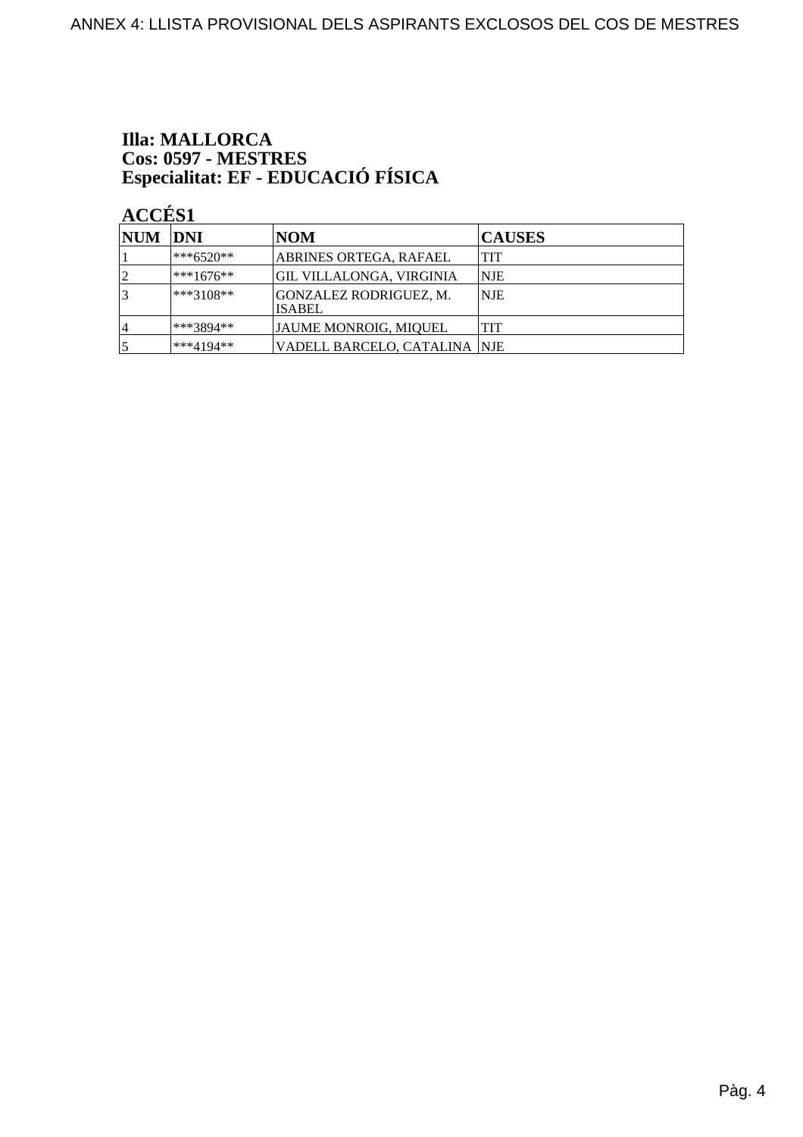# **Illa: MALLORCA** Cos: 0597 - MESTRES<br>Especialitat: EF - EDUCACIÓ FÍSICA

| NUM DNI |              | <b>NOM</b>                              | <b>CAUSES</b> |
|---------|--------------|-----------------------------------------|---------------|
|         | $ ***6520**$ | ABRINES ORTEGA, RAFAEL                  | <b>TIT</b>    |
|         | $***1676**$  | GIL VILLALONGA, VIRGINIA                | <b>NJE</b>    |
|         | $ ***3108**$ | GONZALEZ RODRIGUEZ, M.<br><b>ISABEL</b> | <b>NJE</b>    |
| 4       | ***3894**    | JAUME MONROIG, MIQUEL                   | <b>TIT</b>    |
|         | ***4194**    | VADELL BARCELO, CATALINA  NJE           |               |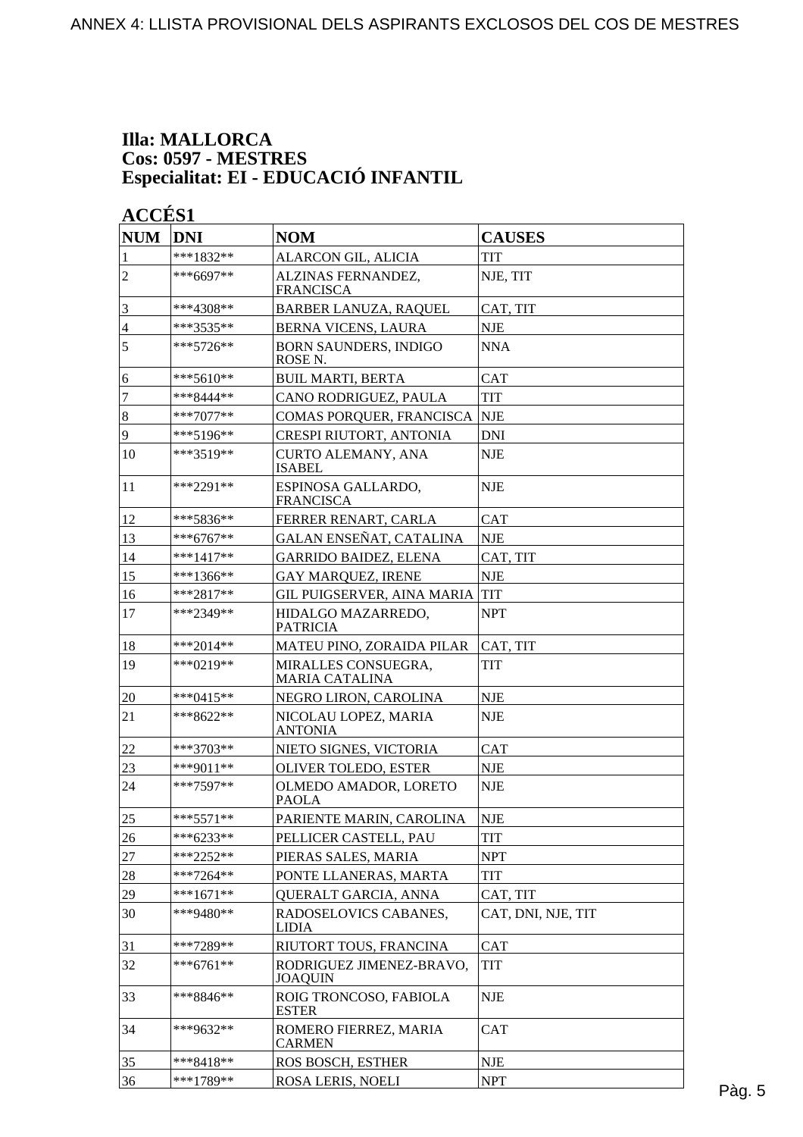#### **Illa: MALLORCA Cos: 0597 - MESTRES Especialitat: EI - EDUCACIÓ INFANTIL**

| <b>NUM</b>     | <b>DNI</b>  | <b>NOM</b>                                         | <b>CAUSES</b>      |        |
|----------------|-------------|----------------------------------------------------|--------------------|--------|
| 1              | ***1832**   | ALARCON GIL, ALICIA                                | <b>TIT</b>         |        |
| $\overline{2}$ | ***6697**   | ALZINAS FERNANDEZ,<br><b>FRANCISCA</b>             | NJE, TIT           |        |
| 3              | ***4308**   | <b>BARBER LANUZA, RAQUEL</b>                       | CAT, TIT           |        |
| 4              | ***3535**   | <b>BERNA VICENS, LAURA</b>                         | <b>NJE</b>         |        |
| 5              | $***5726**$ | <b>BORN SAUNDERS, INDIGO</b><br>ROSE <sub>N.</sub> | <b>NNA</b>         |        |
| 6              | $***5610**$ | <b>BUIL MARTI, BERTA</b>                           | <b>CAT</b>         |        |
| $\overline{7}$ | ***8444**   | CANO RODRIGUEZ, PAULA                              | <b>TIT</b>         |        |
| $\vert 8$      | $***7077**$ | COMAS PORQUER, FRANCISCA                           | <b>NJE</b>         |        |
| 9              | ***5196**   | CRESPI RIUTORT, ANTONIA                            | <b>DNI</b>         |        |
| 10             | ***3519**   | <b>CURTO ALEMANY, ANA</b><br><b>ISABEL</b>         | <b>NJE</b>         |        |
| 11             | ***2291**   | ESPINOSA GALLARDO,<br><b>FRANCISCA</b>             | <b>NJE</b>         |        |
| 12             | ***5836**   | FERRER RENART, CARLA                               | <b>CAT</b>         |        |
| 13             | $***6767**$ | GALAN ENSEÑAT, CATALINA                            | <b>NJE</b>         |        |
| 14             | $***1417**$ | <b>GARRIDO BAIDEZ, ELENA</b>                       | CAT, TIT           |        |
| 15             | $***1366**$ | <b>GAY MARQUEZ, IRENE</b>                          | NJE                |        |
| 16             | $***2817**$ | GIL PUIGSERVER, AINA MARIA                         | <b>TIT</b>         |        |
| 17             | ***2349**   | HIDALGO MAZARREDO,<br><b>PATRICIA</b>              | <b>NPT</b>         |        |
| 18             | ***2014**   | MATEU PINO, ZORAIDA PILAR                          | CAT, TIT           |        |
| 19             | ***0219**   | MIRALLES CONSUEGRA,<br><b>MARIA CATALINA</b>       | TIT                |        |
| 20             | $***0415**$ | NEGRO LIRON, CAROLINA                              | NJE                |        |
| 21             | $***8622**$ | NICOLAU LOPEZ, MARIA<br><b>ANTONIA</b>             | <b>NJE</b>         |        |
| 22             | $***3703**$ | NIETO SIGNES, VICTORIA                             | <b>CAT</b>         |        |
| 23             | ***9011**   | <b>OLIVER TOLEDO, ESTER</b>                        | <b>NJE</b>         |        |
| 24             | ***7597**   | OLMEDO AMADOR, LORETO<br>PAOLA                     | <b>NJE</b>         |        |
| 25             | $***5571**$ | PARIENTE MARIN, CAROLINA                           | <b>NJE</b>         |        |
| 26             | ***6233**   | PELLICER CASTELL, PAU                              | TIT                |        |
| $27\,$         | $***2252**$ | PIERAS SALES, MARIA                                | <b>NPT</b>         |        |
| $28\,$         | $***7264**$ | PONTE LLANERAS, MARTA                              | TIT                |        |
| 29             | $***1671**$ | QUERALT GARCIA, ANNA                               | CAT, TIT           |        |
| 30             | ***9480**   | RADOSELOVICS CABANES,<br><b>LIDIA</b>              | CAT, DNI, NJE, TIT |        |
| 31             | ***7289**   | RIUTORT TOUS, FRANCINA                             | <b>CAT</b>         |        |
| 32             | $***6761**$ | RODRIGUEZ JIMENEZ-BRAVO,<br><b>JOAQUIN</b>         | TIT                |        |
| 33             | ***8846**   | ROIG TRONCOSO, FABIOLA<br><b>ESTER</b>             | <b>NJE</b>         |        |
| 34             | ***9632**   | ROMERO FIERREZ, MARIA<br><b>CARMEN</b>             | <b>CAT</b>         |        |
| 35             | ***8418**   | ROS BOSCH, ESTHER                                  | <b>NJE</b>         |        |
| 36             | ***1789**   | ROSA LERIS, NOELI                                  | <b>NPT</b>         | Pàg. 5 |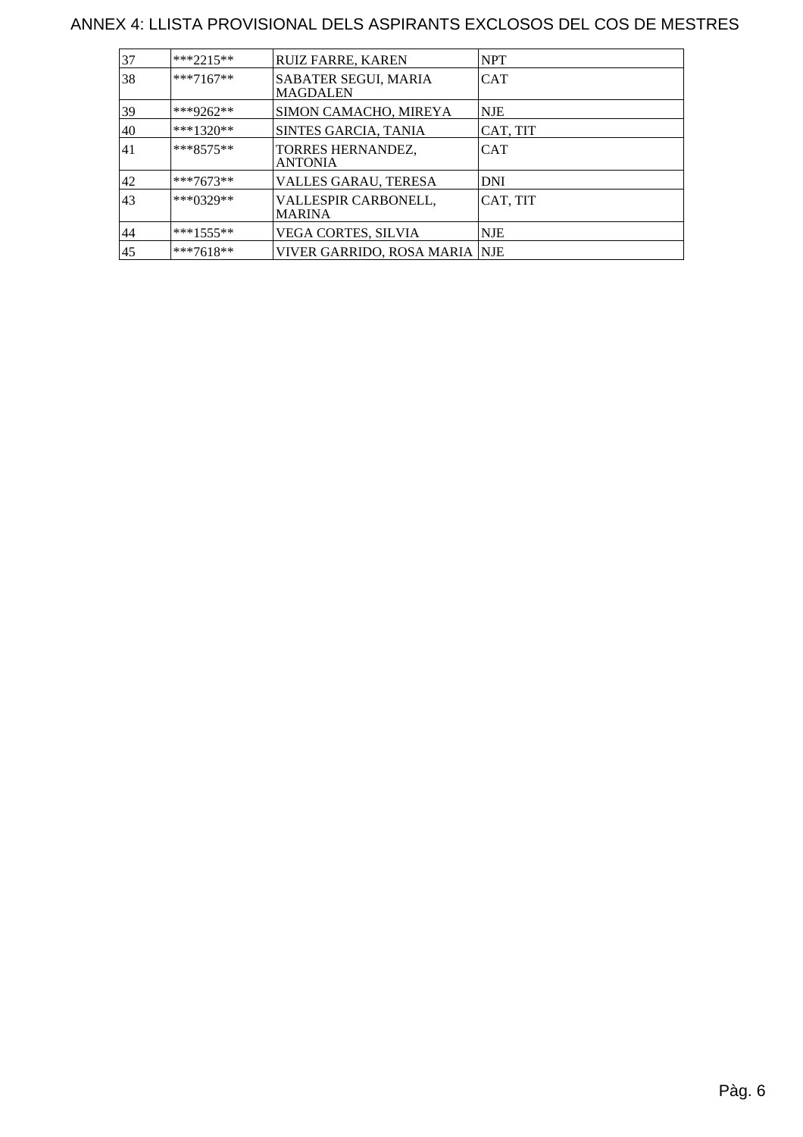#### ANNEX 4: LLISTA PROVISIONAL DELS ASPIRANTS EXCLOSOS DEL COS DE MESTRES

| 37 | $***2215**$  | <b>RUIZ FARRE, KAREN</b>                | <b>NPT</b> |
|----|--------------|-----------------------------------------|------------|
| 38 | $***7167**$  | SABATER SEGUI, MARIA<br><b>MAGDALEN</b> | <b>CAT</b> |
| 39 | ***9262**    | SIMON CAMACHO, MIREYA                   | <b>NJE</b> |
| 40 | $***1320**$  | SINTES GARCIA, TANIA                    | CAT, TIT   |
| 41 | $***8575**$  | TORRES HERNANDEZ,<br><b>ANTONIA</b>     | <b>CAT</b> |
| 42 | $***7673**$  | VALLES GARAU, TERESA                    | DNI        |
| 43 | $***0329**$  | VALLESPIR CARBONELL,<br><b>MARINA</b>   | CAT, TIT   |
| 44 | $***1555***$ | VEGA CORTES, SILVIA                     | <b>NJE</b> |
| 45 | $***7618**$  | VIVER GARRIDO, ROSA MARIA  NJE          |            |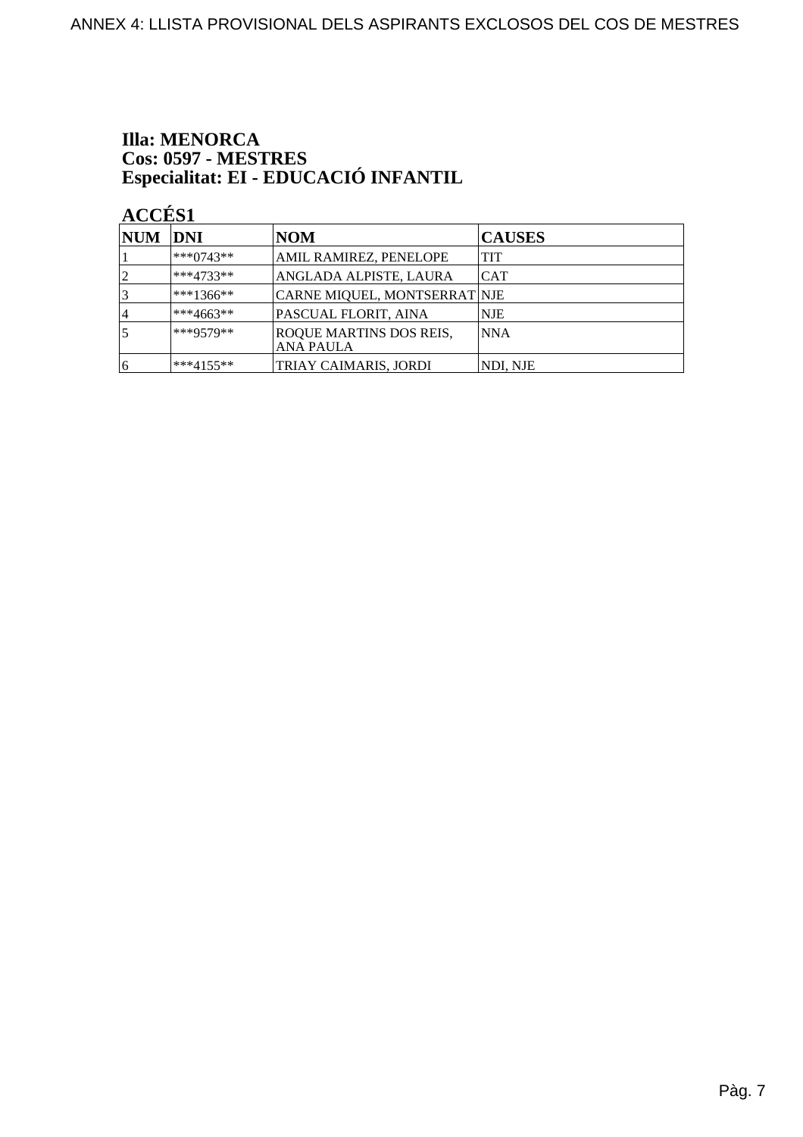# **Illa: MENORCA** Cos: 0597 - MESTRES<br>Especialitat: EI - EDUCACIÓ INFANTIL

| NUM DNI        |               | <b>NOM</b>                                         | <b>CAUSES</b> |
|----------------|---------------|----------------------------------------------------|---------------|
|                | $***0743**$   | AMIL RAMIREZ, PENELOPE                             | <b>TIT</b>    |
| $\overline{2}$ | $ ***4733**$  | ANGLADA ALPISTE, LAURA                             | ICAT          |
|                | $***1366**$   | CARNE MIQUEL, MONTSERRAT NJE                       |               |
| 14             | $***4663**$   | PASCUAL FLORIT, AINA                               | <b>NJE</b>    |
|                | ***9579**     | <b>ROQUE MARTINS DOS REIS,</b><br><b>ANA PAULA</b> | NNA           |
| 16             | $ ***4155***$ | TRIAY CAIMARIS, JORDI                              | NDI, NJE      |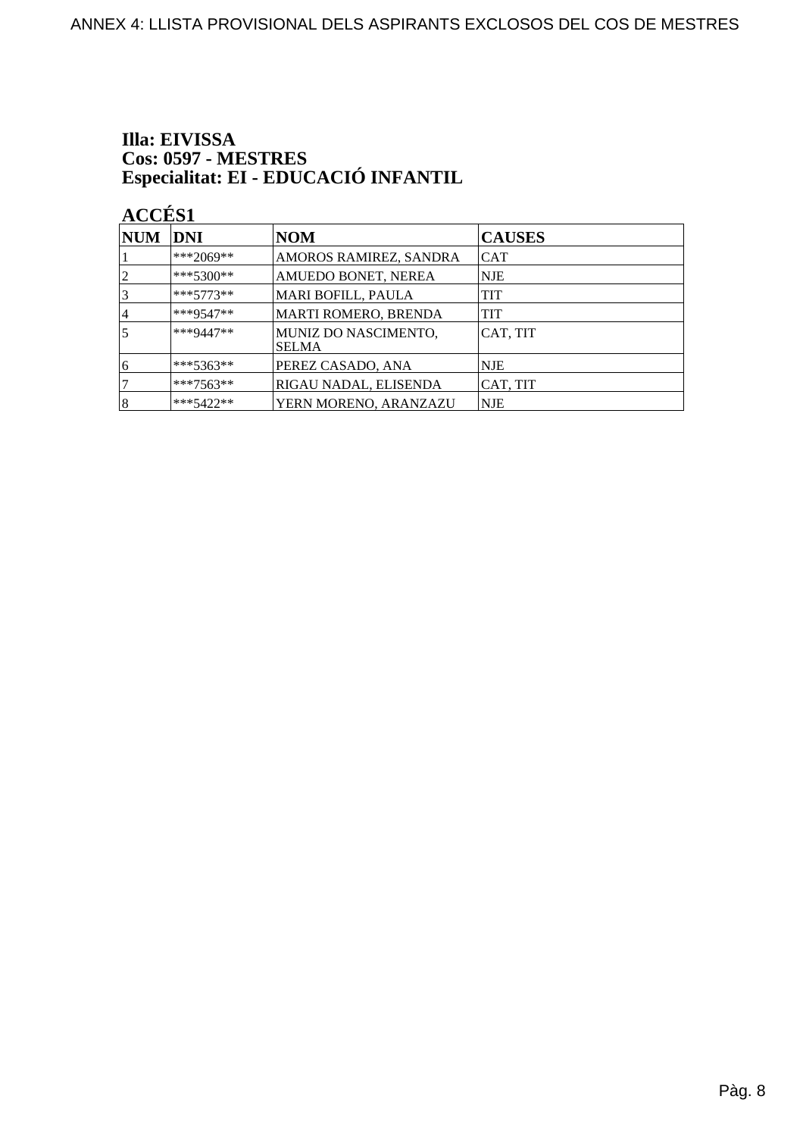# Illa: EIVISSA Cos: 0597 - MESTRES<br>Especialitat: EI - EDUCACIÓ INFANTIL

| $\bf NUM$      | <b>DNI</b>  | <b>NOM</b>                           | <b>CAUSES</b> |
|----------------|-------------|--------------------------------------|---------------|
|                | ***2069**   | AMOROS RAMIREZ, SANDRA               | <b>CAT</b>    |
| $\overline{2}$ | $***5300**$ | AMUEDO BONET, NEREA                  | NJE           |
| 3              | $***5773**$ | <b>MARI BOFILL, PAULA</b>            | TIT           |
| 4              | ***9547**   | <b>MARTI ROMERO, BRENDA</b>          | TIT           |
| 5              | ***9447**   | MUNIZ DO NASCIMENTO,<br><b>SELMA</b> | CAT, TIT      |
| 16             | ***5363**   | PEREZ CASADO, ANA                    | NJE.          |
|                | $***7563**$ | RIGAU NADAL, ELISENDA                | CAT, TIT      |
| 8              | $***5422**$ | YERN MORENO, ARANZAZU                | <b>NJE</b>    |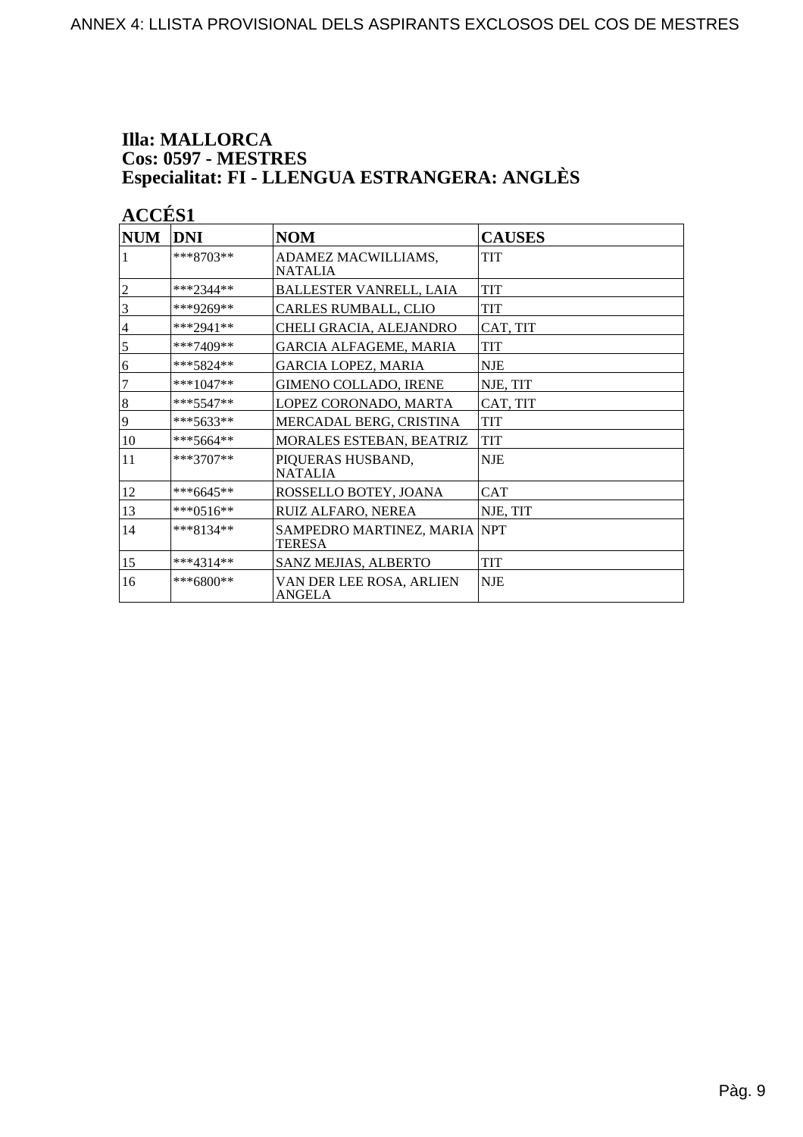### **Illa: MALLORCA Cos: 0597 - MESTRES<br>Especialitat: FI - LLENGUA ESTRANGERA: ANGLÈS**

| <b>NUM</b>     | <b>DNI</b>  | <b>NOM</b>                                     | <b>CAUSES</b> |
|----------------|-------------|------------------------------------------------|---------------|
| 1              | $***8703**$ | ADAMEZ MACWILLIAMS,<br><b>NATALIA</b>          | <b>TIT</b>    |
| $\overline{c}$ | ***2344**   | <b>BALLESTER VANRELL, LAIA</b>                 | <b>TIT</b>    |
| 3              | ***9269**   | CARLES RUMBALL, CLIO                           | TIT           |
| $\overline{4}$ | ***2941**   | CHELI GRACIA, ALEJANDRO                        | CAT, TIT      |
| $\mathfrak s$  | $***7409**$ | GARCIA ALFAGEME, MARIA                         | <b>TIT</b>    |
| 6              | ***5824**   | GARCIA LOPEZ, MARIA                            | <b>NJE</b>    |
| $\tau$         | $***1047**$ | <b>GIMENO COLLADO, IRENE</b>                   | NJE, TIT      |
| $\,8\,$        | $***5547**$ | LOPEZ CORONADO, MARTA                          | CAT, TIT      |
| 9              | ***5633**   | MERCADAL BERG, CRISTINA                        | <b>TIT</b>    |
| 10             | ***5664**   | MORALES ESTEBAN, BEATRIZ                       | <b>TIT</b>    |
| 11             | $***3707**$ | PIQUERAS HUSBAND,<br><b>NATALIA</b>            | <b>NJE</b>    |
| 12             | ***6645**   | ROSSELLO BOTEY, JOANA                          | <b>CAT</b>    |
| 13             | ***0516**   | RUIZ ALFARO, NEREA                             | NJE, TIT      |
| 14             | ***8134**   | SAMPEDRO MARTINEZ, MARIA  NPT<br><b>TERESA</b> |               |
| 15             | ***4314**   | <b>SANZ MEJIAS, ALBERTO</b>                    | <b>TIT</b>    |
| 16             | ***6800**   | VAN DER LEE ROSA, ARLIEN<br>ANGELA             | NJE           |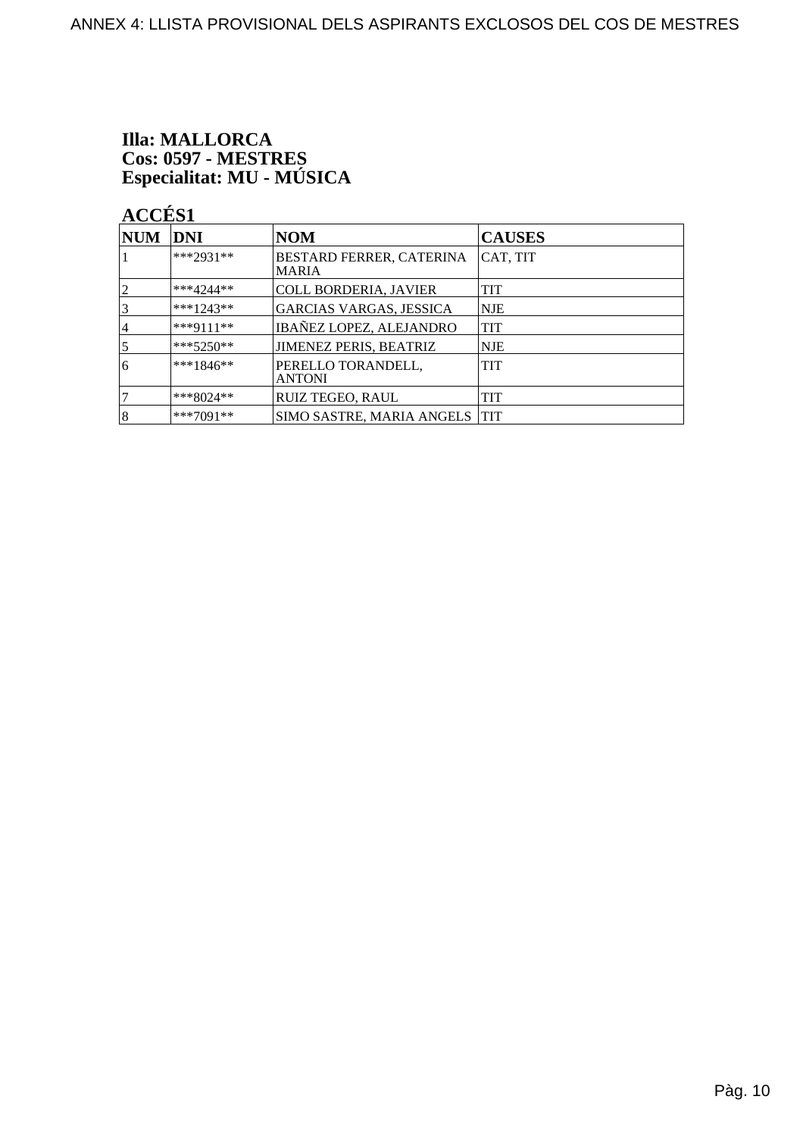# **Illa: MALLORCA** Cos: 0597 - MESTRES<br>Especialitat: MU - MÚSICA

| <b>NUM</b>     | <b>DNI</b>  | <b>NOM</b>                               | <b>CAUSES</b> |
|----------------|-------------|------------------------------------------|---------------|
|                | $***2931**$ | BESTARD FERRER, CATERINA<br><b>MARIA</b> | CAT, TIT      |
| 12             | $***4244**$ | COLL BORDERIA, JAVIER                    | <b>TIT</b>    |
| $\overline{3}$ | $***1243**$ | <b>GARCIAS VARGAS, JESSICA</b>           | <b>NJE</b>    |
| 4              | ***9111**   | <b>IBAÑEZ LOPEZ, ALEJANDRO</b>           | <b>TIT</b>    |
| $\overline{5}$ | ***5250**   | JIMENEZ PERIS, BEATRIZ                   | <b>NJE</b>    |
| 6              | $***1846**$ | PERELLO TORANDELL,<br><b>ANTONI</b>      | <b>TIT</b>    |
|                | ***8024**   | <b>RUIZ TEGEO, RAUL</b>                  | TIT           |
| 18             | $***7091**$ | SIMO SASTRE, MARIA ANGELS   TIT          |               |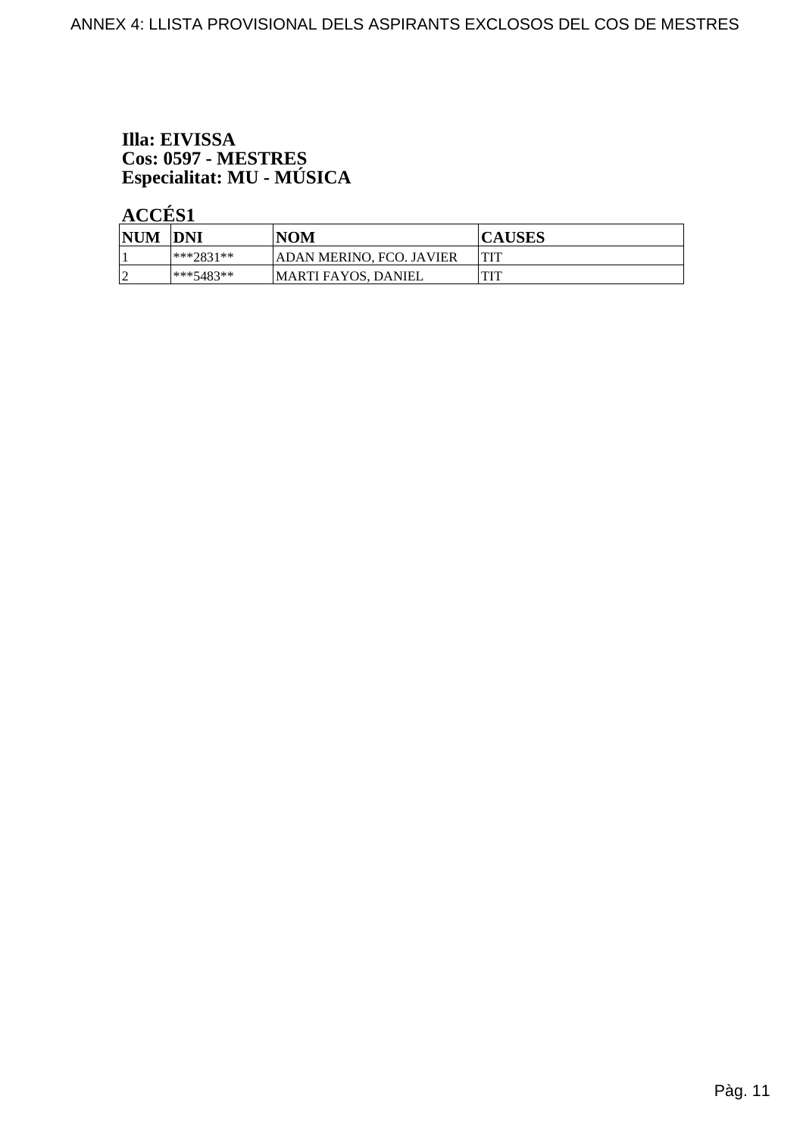# Illa: EIVISSA Cos: 0597 - MESTRES<br>Especialitat: MU - MÚSICA

| <b>NUM</b> | <b>DNI</b>   | <b>NOM</b>               | <b>CAUSES</b> |
|------------|--------------|--------------------------|---------------|
|            | ***?831**    | ADAN MERINO, FCO. JAVIER |               |
|            | $ ***5483**$ | MARTI FAYOS, DANIEL      |               |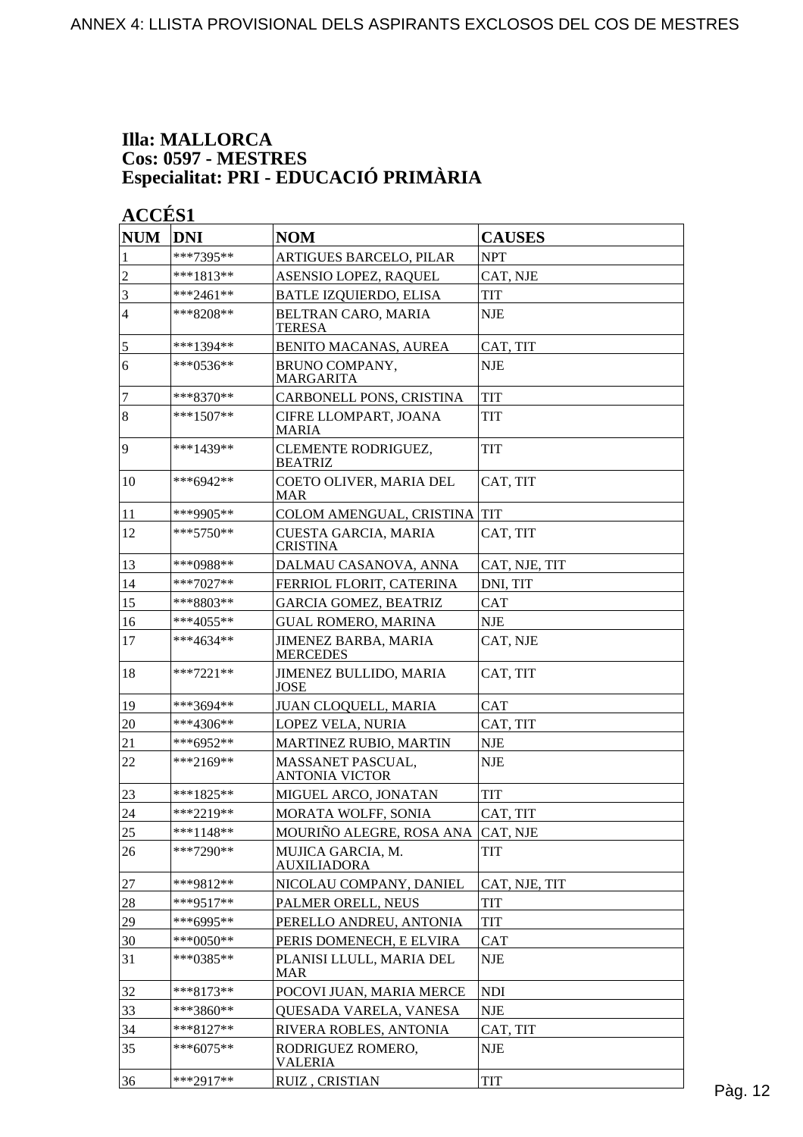#### **Illa: MALLORCA Cos: 0597 - MESTRES Especialitat: PRI - EDUCACIÓ PRIMÀRIA**

| <b>NUM</b>     | <b>DNI</b>  | <b>NOM</b>                                 | <b>CAUSES</b>               |         |
|----------------|-------------|--------------------------------------------|-----------------------------|---------|
| $\mathbf{1}$   | ***7395**   | ARTIGUES BARCELO, PILAR                    | <b>NPT</b>                  |         |
| $\overline{2}$ | $***1813**$ | ASENSIO LOPEZ, RAQUEL                      | CAT, NJE                    |         |
| $\overline{3}$ | ***2461**   | <b>BATLE IZQUIERDO, ELISA</b>              | <b>TIT</b>                  |         |
| $\overline{4}$ | ***8208**   | BELTRAN CARO, MARIA<br><b>TERESA</b>       | <b>NJE</b>                  |         |
| $\overline{5}$ | ***1394**   | BENITO MACANAS, AUREA                      | CAT, TIT                    |         |
| 6              | $***0536**$ | BRUNO COMPANY,<br><b>MARGARITA</b>         | <b>NJE</b>                  |         |
| 7              | $***8370**$ | CARBONELL PONS, CRISTINA                   | TIT                         |         |
| $\overline{8}$ | $***1507**$ | CIFRE LLOMPART, JOANA<br><b>MARIA</b>      | <b>TIT</b>                  |         |
| $\overline{9}$ | ***1439**   | CLEMENTE RODRIGUEZ,<br><b>BEATRIZ</b>      | <b>TIT</b>                  |         |
| 10             | ***6942**   | COETO OLIVER, MARIA DEL<br><b>MAR</b>      | CAT, TIT                    |         |
| 11             | ***9905**   | COLOM AMENGUAL, CRISTINA TIT               |                             |         |
| 12             | $***5750**$ | CUESTA GARCIA, MARIA<br><b>CRISTINA</b>    | CAT, TIT                    |         |
| 13             | ***0988**   | DALMAU CASANOVA, ANNA                      | CAT, NJE, TIT               |         |
| 14             | ***7027**   | FERRIOL FLORIT, CATERINA                   | DNI, TIT                    |         |
| 15             | ***8803**   | <b>GARCIA GOMEZ, BEATRIZ</b>               | <b>CAT</b>                  |         |
| 16             | ***4055**   | <b>GUAL ROMERO, MARINA</b>                 | <b>NJE</b>                  |         |
| 17             | $***4634**$ | JIMENEZ BARBA, MARIA<br><b>MERCEDES</b>    | CAT, NJE                    |         |
| 18             | $***7221**$ | JIMENEZ BULLIDO, MARIA<br><b>JOSE</b>      | CAT, TIT                    |         |
| 19             | ***3694**   | <b>JUAN CLOQUELL, MARIA</b>                | <b>CAT</b>                  |         |
| 20             | ***4306**   | LOPEZ VELA, NURIA                          | CAT, TIT                    |         |
| 21             | ***6952**   | MARTINEZ RUBIO, MARTIN                     | <b>NJE</b>                  |         |
| 22             | $***2169**$ | MASSANET PASCUAL,<br><b>ANTONIA VICTOR</b> | <b>NJE</b>                  |         |
| 23             | ***1825**   | MIGUEL ARCO, JONATAN                       | TIT                         |         |
| 24             | ***2219**   | MORATA WOLFF, SONIA                        | CAT, TIT                    |         |
| 25             | ***1148**   | MOURIÑO ALEGRE, ROSA ANA CAT, NJE          |                             |         |
| 26             | $***7290**$ | MUJICA GARCIA, M.<br><b>AUXILIADORA</b>    | TIT                         |         |
| 27             | ***9812**   | NICOLAU COMPANY, DANIEL                    | CAT, NJE, TIT               |         |
| 28             | $***9517**$ | PALMER ORELL, NEUS                         | <b>TIT</b>                  |         |
| 29             | ***6995**   | PERELLO ANDREU, ANTONIA                    | TIT                         |         |
| 30             | $***0050**$ | PERIS DOMENECH, E ELVIRA                   | <b>CAT</b>                  |         |
| 31             | ***0385**   | PLANISI LLULL, MARIA DEL<br><b>MAR</b>     | <b>NJE</b>                  |         |
| 32             | ***8173**   | POCOVI JUAN, MARIA MERCE                   | <b>NDI</b>                  |         |
| 33             | ***3860**   | QUESADA VARELA, VANESA                     | $\ensuremath{\mathsf{NJE}}$ |         |
| 34             | $***8127**$ | RIVERA ROBLES, ANTONIA                     | CAT, TIT                    |         |
| 35             | $***6075**$ | RODRIGUEZ ROMERO,<br><b>VALERIA</b>        | <b>NJE</b>                  |         |
| 36             | $***2917**$ | RUIZ, CRISTIAN                             | <b>TIT</b>                  | Pàg. 12 |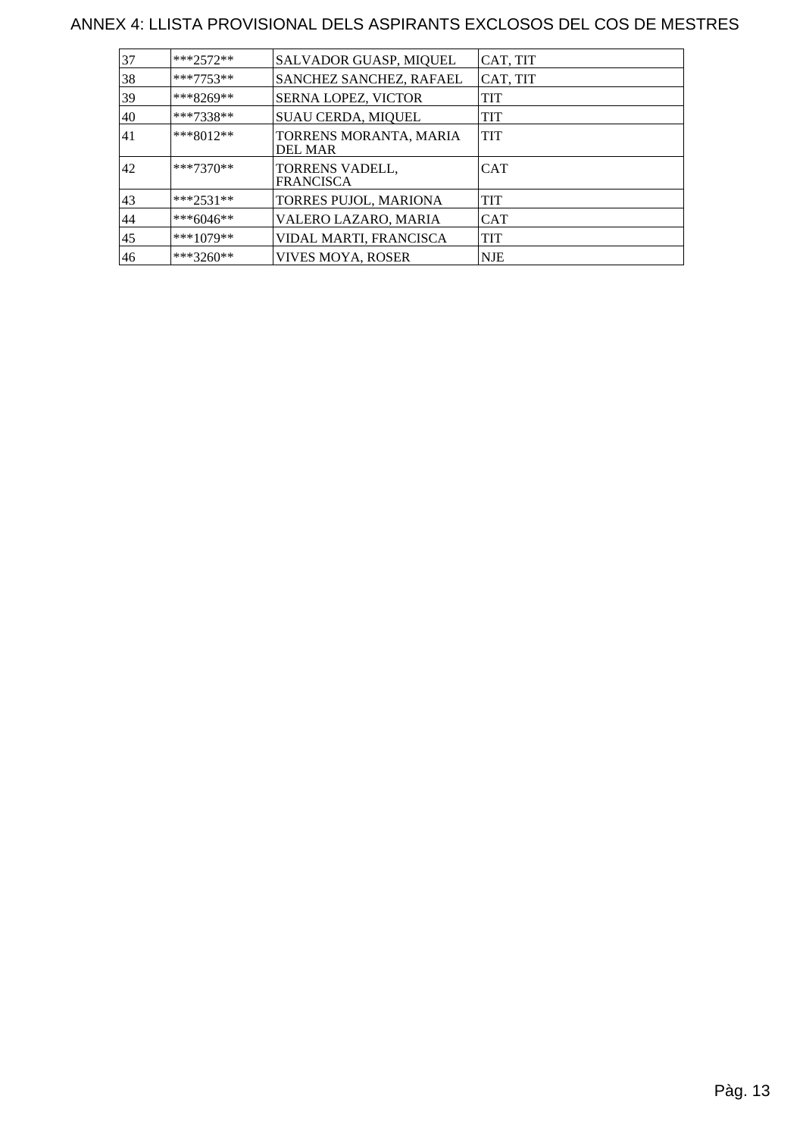#### ANNEX 4: LLISTA PROVISIONAL DELS ASPIRANTS EXCLOSOS DEL COS DE MESTRES

| 37 | $***2572**$ | SALVADOR GUASP, MIQUEL                   | CAT, TIT   |
|----|-------------|------------------------------------------|------------|
| 38 | $***7753**$ | SANCHEZ SANCHEZ, RAFAEL                  | CAT, TIT   |
| 39 | ***8269**   | SERNA LOPEZ, VICTOR                      | TIT        |
| 40 | $***7338**$ | <b>SUAU CERDA, MIQUEL</b>                | TIT        |
| 41 | $***8012**$ | TORRENS MORANTA, MARIA<br><b>DEL MAR</b> | <b>TIT</b> |
| 42 | $***7370**$ | TORRENS VADELL,<br><b>FRANCISCA</b>      | <b>CAT</b> |
| 43 | $***2531**$ | TORRES PUJOL, MARIONA                    | TIT        |
| 44 | $***6046**$ | VALERO LAZARO, MARIA                     | <b>CAT</b> |
| 45 | $***1079**$ | VIDAL MARTI, FRANCISCA                   | <b>TIT</b> |
| 46 | $***3260**$ | VIVES MOYA, ROSER                        | NJE        |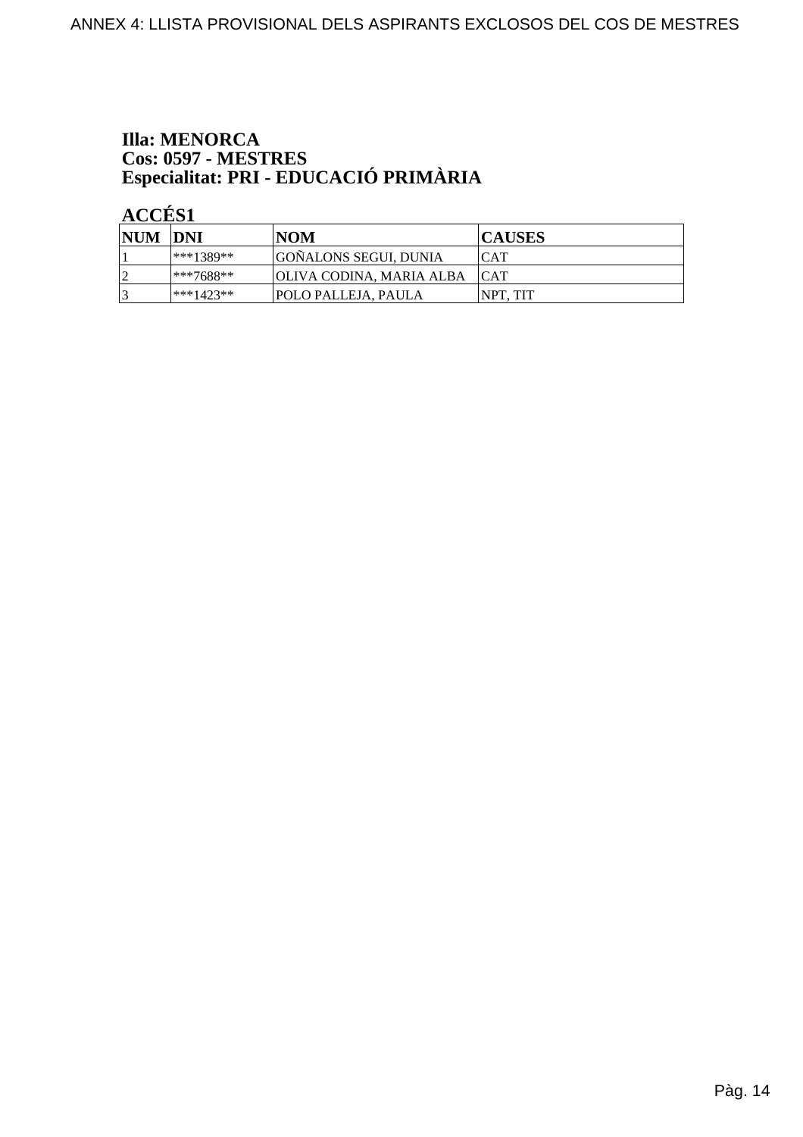# **Illa: MENORCA** Cos: 0597 - MESTRES<br>Especialitat: PRI - EDUCACIÓ PRIMÀRIA

 $\angle$  ACCÉS 1

| NUM DNI        |              | <b>NOM</b>                   | <b>CAUSES</b>    |
|----------------|--------------|------------------------------|------------------|
|                | ***1389**    | GOÑALONS SEGUI, DUNIA        | ICAT             |
| $\overline{2}$ | $ ***7688**$ | OLIVA CODINA, MARIA ALBA CAT |                  |
|                | $***1423**$  | <b>POLO PALLEJA. PAULA</b>   | <b>INPT. TIT</b> |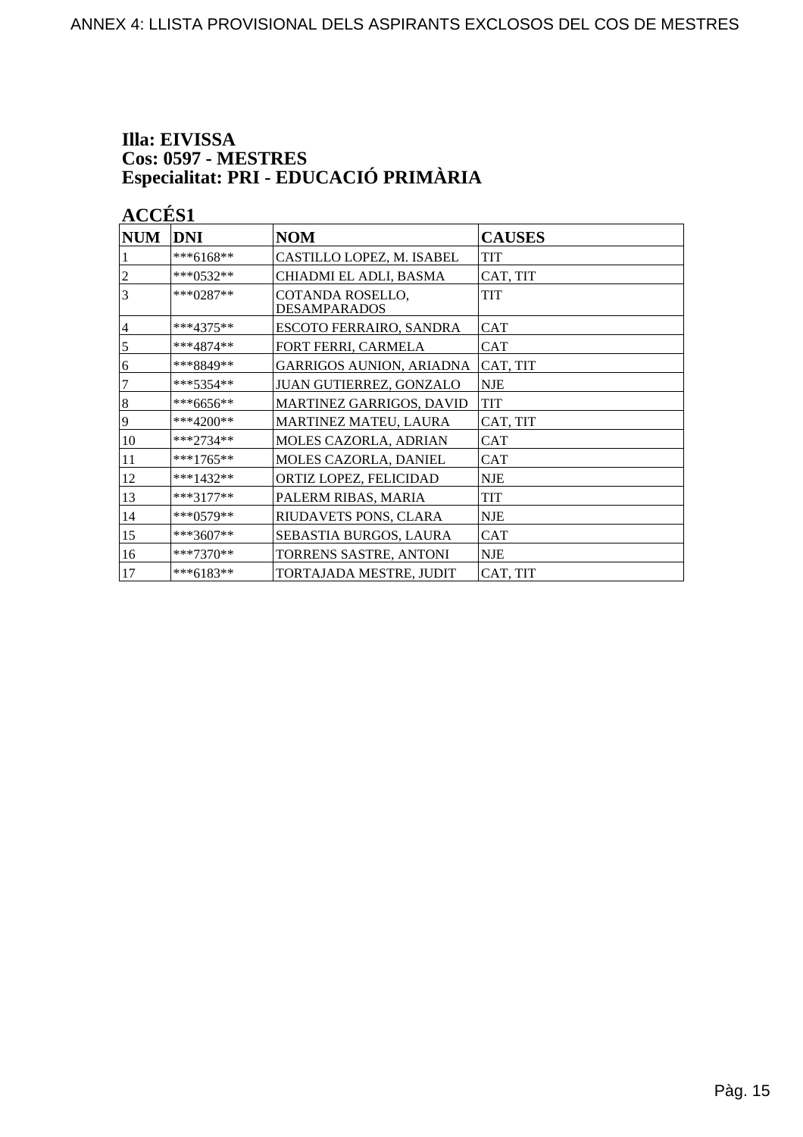# Illa: EIVISSA Cos: 0597 - MESTRES<br>Especialitat: PRI - EDUCACIÓ PRIMÀRIA

| $\bf NUM$      | <b>DNI</b>  | <b>NOM</b>                              | <b>CAUSES</b> |
|----------------|-------------|-----------------------------------------|---------------|
|                | ***6168**   | CASTILLO LOPEZ, M. ISABEL               | TIT           |
| $\overline{c}$ | ***0532**   | CHIADMI EL ADLI, BASMA                  | CAT, TIT      |
| 3              | $***0287**$ | COTANDA ROSELLO,<br><b>DESAMPARADOS</b> | <b>TIT</b>    |
| $\overline{4}$ | $***4375**$ | <b>ESCOTO FERRAIRO, SANDRA</b>          | <b>CAT</b>    |
| 5              | $***4874**$ | FORT FERRI, CARMELA                     | <b>CAT</b>    |
| 6              | ***8849**   | <b>GARRIGOS AUNION, ARIADNA</b>         | CAT, TIT      |
| 7              | $***5354**$ | JUAN GUTIERREZ, GONZALO                 | <b>NJE</b>    |
| $\sqrt{8}$     | ***6656**   | MARTINEZ GARRIGOS, DAVID                | <b>TIT</b>    |
| $\overline{9}$ | $***4200**$ | MARTINEZ MATEU, LAURA                   | CAT, TIT      |
| 10             | ***2734**   | MOLES CAZORLA, ADRIAN                   | <b>CAT</b>    |
| 11             | ***1765**   | MOLES CAZORLA, DANIEL                   | <b>CAT</b>    |
| 12             | $***1432**$ | ORTIZ LOPEZ, FELICIDAD                  | <b>NJE</b>    |
| 13             | $***3177**$ | PALERM RIBAS, MARIA                     | <b>TIT</b>    |
| 14             | $***0579**$ | RIUDAVETS PONS, CLARA                   | <b>NJE</b>    |
| 15             | ***3607**   | SEBASTIA BURGOS, LAURA                  | <b>CAT</b>    |
| 16             | ***7370**   | TORRENS SASTRE, ANTONI                  | <b>NJE</b>    |
| 17             | ***6183**   | TORTAJADA MESTRE, JUDIT                 | CAT, TIT      |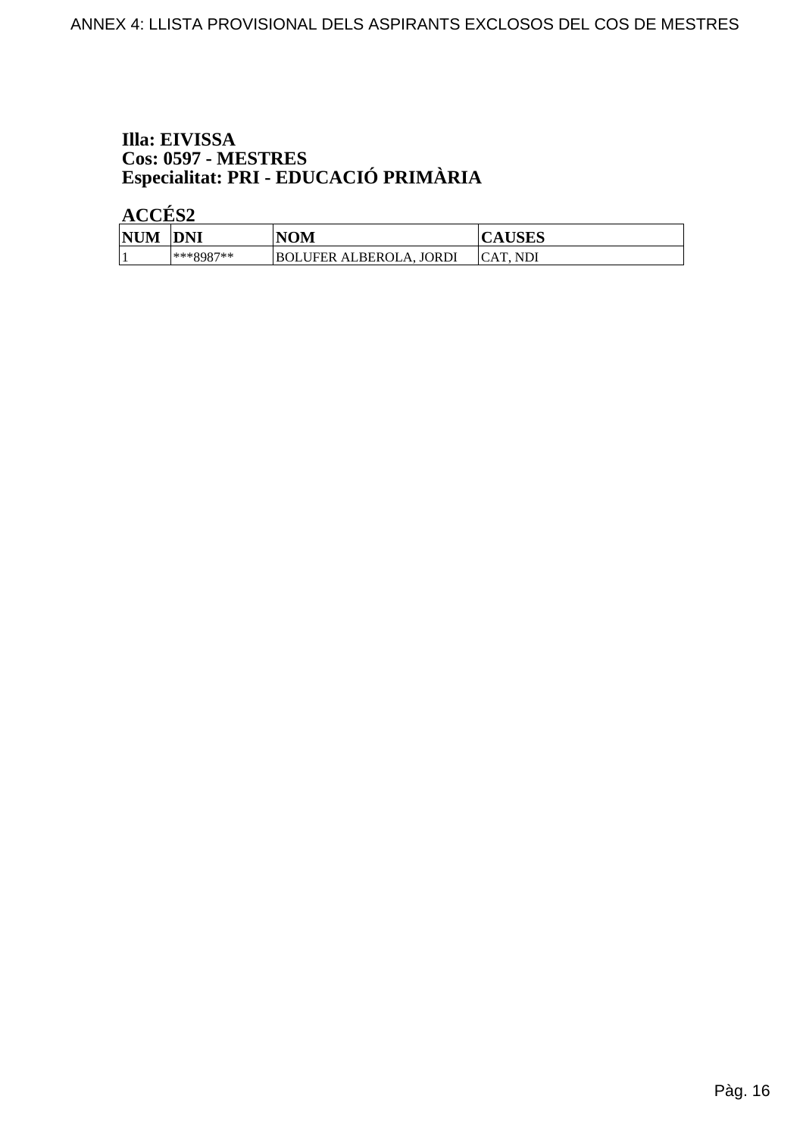# Illa: EIVISSA Cos: 0597 - MESTRES<br>Especialitat: PRI - EDUCACIÓ PRIMÀRIA

| <b>NUM</b> | <b>DNI</b> | <b>NOM</b>                               | AUSLS     |
|------------|------------|------------------------------------------|-----------|
|            | ***8987**  | <b>JORDI</b><br><b>BOLUFER ALBEROLA,</b> | ICAT. NDI |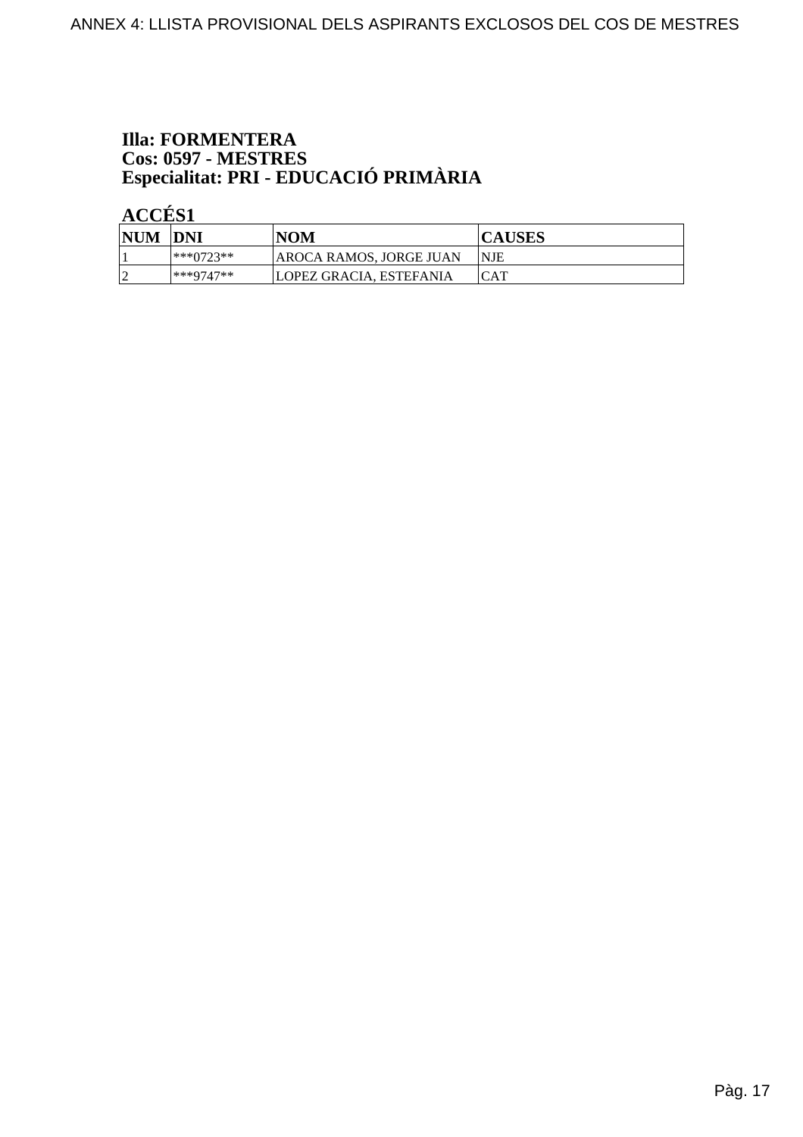# **Illa: FORMENTERA** Cos: 0597 - MESTRES<br>Especialitat: PRI - EDUCACIÓ PRIMÀRIA

| <b>NUM</b> | <b>DNI</b> | <b>NOM</b>               | <b>CAUSES</b> |
|------------|------------|--------------------------|---------------|
|            | ***0723**  | AROCA RAMOS, JORGE JUAN  | <b>NJE</b>    |
|            | ***9747**  | 'LOPEZ GRACIA. ESTEFANIA | <b>ICAT</b>   |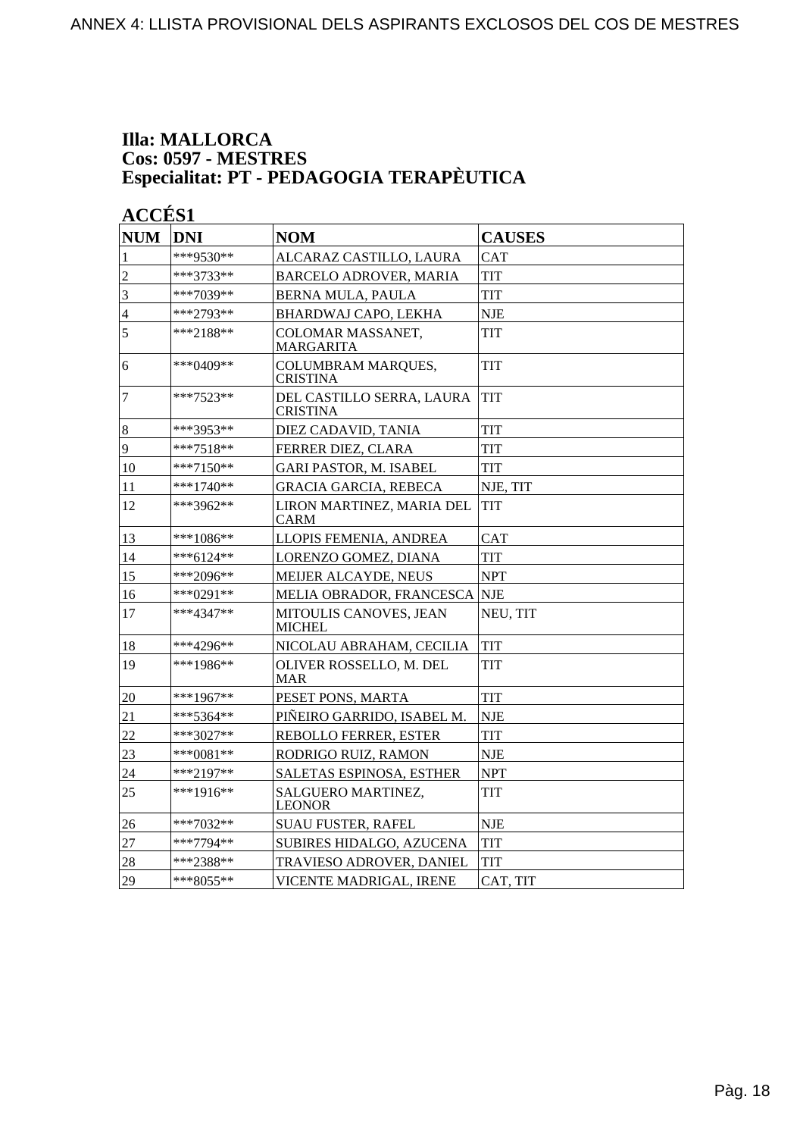#### **Illa: MALLORCA Cos: 0597 - MESTRES Especialitat: PT - PEDAGOGIA TERAPÈUTICA**

| <b>NUM</b>       | <b>DNI</b>  | <b>NOM</b>                                   | <b>CAUSES</b> |
|------------------|-------------|----------------------------------------------|---------------|
| 1                | ***9530**   | ALCARAZ CASTILLO, LAURA                      | <b>CAT</b>    |
| $\overline{2}$   | ***3733**   | BARCELO ADROVER, MARIA                       | <b>TIT</b>    |
| $\overline{3}$   | ***7039**   | BERNA MULA, PAULA                            | <b>TIT</b>    |
| $\overline{4}$   | ***2793**   | BHARDWAJ CAPO, LEKHA                         | <b>NJE</b>    |
| 5                | ***2188**   | COLOMAR MASSANET,<br>MARGARITA               | TIT           |
| 6                | ***0409**   | COLUMBRAM MARQUES,<br><b>CRISTINA</b>        | <b>TIT</b>    |
| 7                | $***7523**$ | DEL CASTILLO SERRA, LAURA<br><b>CRISTINA</b> | TIT           |
| $\boldsymbol{8}$ | ***3953**   | DIEZ CADAVID, TANIA                          | TIT           |
| $\overline{9}$   | ***7518**   | FERRER DIEZ, CLARA                           | TIT           |
| 10               | ***7150**   | <b>GARI PASTOR, M. ISABEL</b>                | <b>TIT</b>    |
| 11               | ***1740**   | <b>GRACIA GARCIA, REBECA</b>                 | NJE, TIT      |
| 12               | ***3962**   | LIRON MARTINEZ, MARIA DEL<br>CARM            | TIT           |
| 13               | ***1086**   | LLOPIS FEMENIA, ANDREA                       | <b>CAT</b>    |
| 14               | $***6124**$ | LORENZO GOMEZ, DIANA                         | <b>TIT</b>    |
| 15               | ***2096**   | MEIJER ALCAYDE, NEUS                         | <b>NPT</b>    |
| 16               | ***0291**   | MELIA OBRADOR, FRANCESCA                     | <b>NJE</b>    |
| 17               | ***4347**   | MITOULIS CANOVES, JEAN<br><b>MICHEL</b>      | NEU, TIT      |
| 18               | ***4296**   | NICOLAU ABRAHAM, CECILIA                     | TIT           |
| 19               | $***1986**$ | OLIVER ROSSELLO, M. DEL<br>MAR               | TIT           |
| 20               | ***1967**   | PESET PONS, MARTA                            | TIT           |
| 21               | ***5364**   | PIÑEIRO GARRIDO, ISABEL M.                   | <b>NJE</b>    |
| 22               | ***3027**   | <b>REBOLLO FERRER, ESTER</b>                 | <b>TIT</b>    |
| 23               | ***0081**   | RODRIGO RUIZ, RAMON                          | <b>NJE</b>    |
| 24               | ***2197**   | SALETAS ESPINOSA, ESTHER                     | <b>NPT</b>    |
| 25               | ***1916**   | SALGUERO MARTINEZ,<br><b>LEONOR</b>          | TIT           |
| 26               | ***7032**   | <b>SUAU FUSTER, RAFEL</b>                    | NJE           |
| 27               | ***7794**   | SUBIRES HIDALGO, AZUCENA                     | <b>TIT</b>    |
| 28               | ***2388**   | TRAVIESO ADROVER, DANIEL                     | TIT           |
| 29               | ***8055**   | VICENTE MADRIGAL, IRENE                      | CAT, TIT      |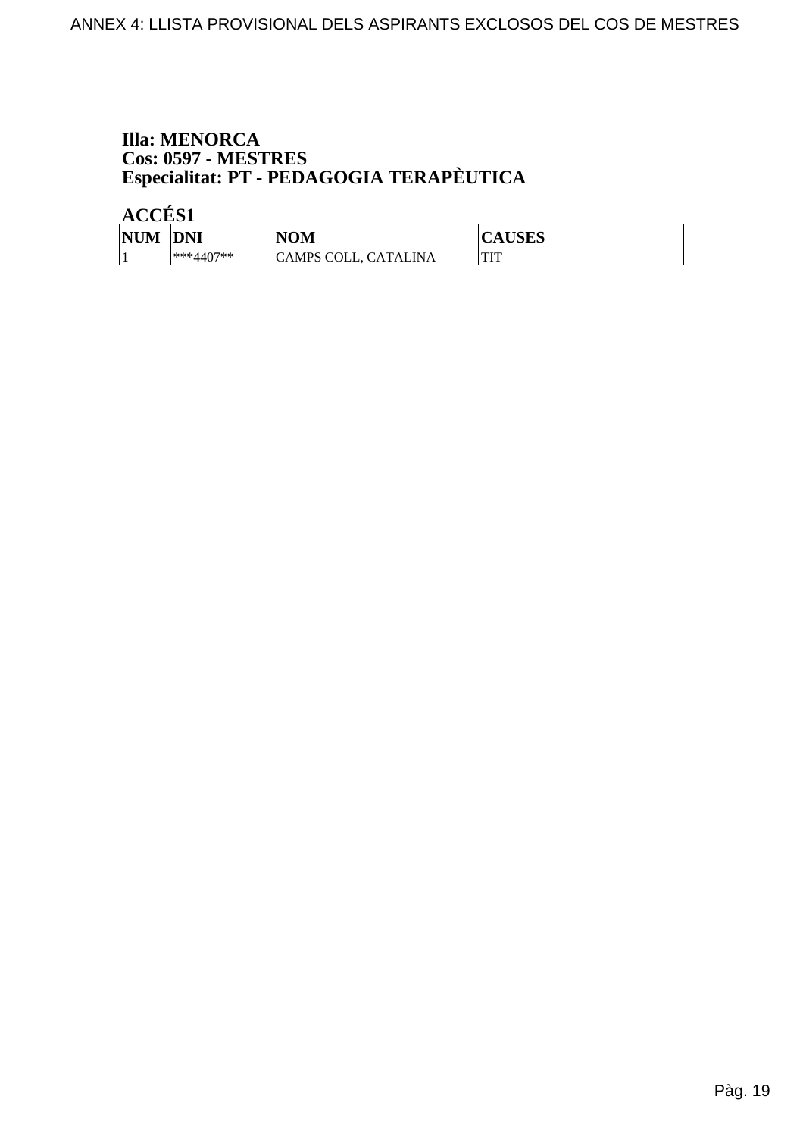# **Illa: MENORCA Cos: 0597 - MESTRES<br>Especialitat: PT - PEDAGOGIA TERAPÈUTICA**

| <b>NUM</b> | <b>DNI</b>  | <b>NOM</b>                          | <b>TIODC</b><br>AUDLO |
|------------|-------------|-------------------------------------|-----------------------|
|            | $***4407**$ | `INA<br>. CATAL :<br>COLL,<br>`AMPS | $\blacksquare$<br>    |